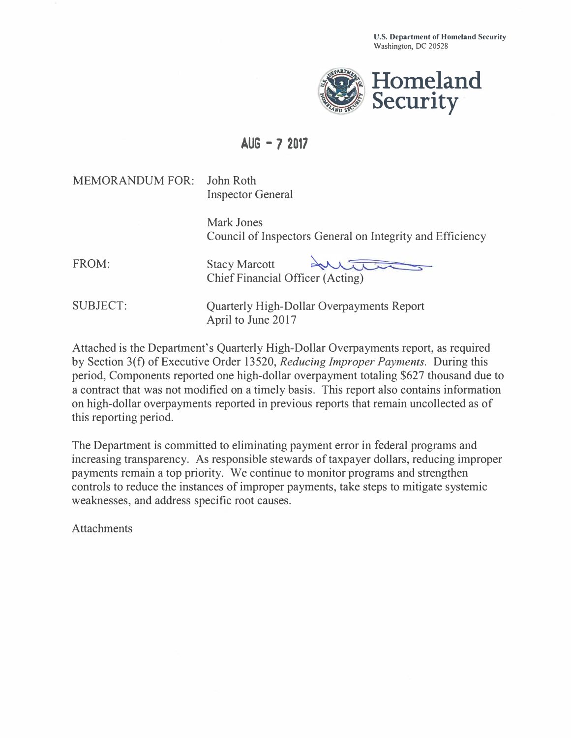

## **AUG - 7 2017**

MEMORANDUM FOR: John Roth

Inspector General

Mark Jones Council of Inspectors General on Integrity and Efficiency

FROM:

Stacy Marcott Chief Financial Officer (Acting)

SUBJECT:

Quarterly High-Dollar Overpayments Report April to June 2017

Attached is the Department's Quarterly High-Dollar Overpayments report, as required by Section 3(f) of Executive Order 13520, *Reducing Improper Payments.* During this period, Components reported one high-dollar overpayment totaling \$627 thousand due to a contract that was not modified on a timely basis. This report also contains information on high-dollar overpayments reported in previous reports that remain uncollected as of this reporting period.

The Department is committed to eliminating payment error in federal programs and increasing transparency. As responsible stewards of taxpayer dollars, reducing improper payments remain a top priority. We continue to monitor programs and strengthen controls to reduce the instances of improper payments, take steps to mitigate systemic weaknesses, and address specific root causes.

Attachments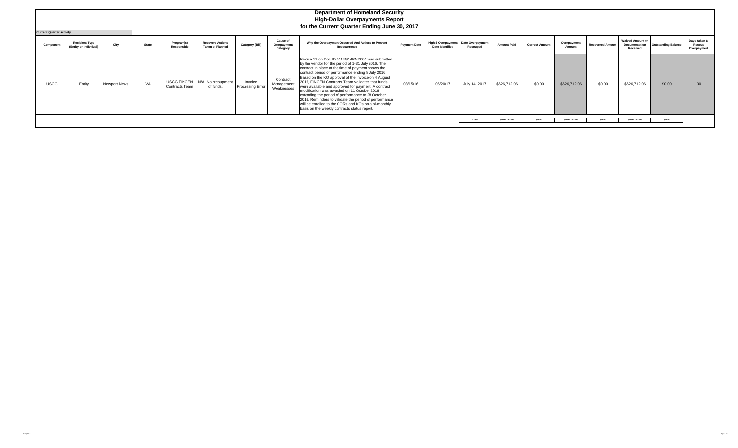|             | <b>Department of Homeland Security</b><br><b>High-Dollar Overpayments Report</b><br>for the Current Quarter Ending June 30, 2017<br><b>Current Quarter Activity</b> |                     |              |                           |                                                    |                             |                                            |                                                                                                                                                                                                                                                                                                                                                                                                                                                                                                                                                                                                                                                           |                     |                                                      |                              |                    |                       |                       |                         |                                                      |                            |                                        |
|-------------|---------------------------------------------------------------------------------------------------------------------------------------------------------------------|---------------------|--------------|---------------------------|----------------------------------------------------|-----------------------------|--------------------------------------------|-----------------------------------------------------------------------------------------------------------------------------------------------------------------------------------------------------------------------------------------------------------------------------------------------------------------------------------------------------------------------------------------------------------------------------------------------------------------------------------------------------------------------------------------------------------------------------------------------------------------------------------------------------------|---------------------|------------------------------------------------------|------------------------------|--------------------|-----------------------|-----------------------|-------------------------|------------------------------------------------------|----------------------------|----------------------------------------|
| Component   | <b>Recipient Type</b><br>(Entity or Individual)                                                                                                                     | City                | <b>State</b> | Program(s)<br>Responsible | <b>Recovery Actions</b><br><b>Taken or Planned</b> | <b>Category (Bill)</b>      | <b>Cause of</b><br>Overpayment<br>Category | Why the Overpayment Occurred And Actions to Prevent<br>Reoccurrence                                                                                                                                                                                                                                                                                                                                                                                                                                                                                                                                                                                       | <b>Payment Date</b> | <b>High \$ Overpayment</b><br><b>Date Identified</b> | Date Overpayment<br>Recouped | <b>Amount Paid</b> | <b>Correct Amount</b> | Overpayment<br>Amount | <b>Recovered Amount</b> | <b>Waived Amount or</b><br>Documentation<br>Received | <b>Outstanding Balance</b> | Days taken to<br>Recoup<br>Overpayment |
| <b>USCG</b> | Entity                                                                                                                                                              | <b>Newport News</b> | VA           | <b>Contracts Team</b>     | USCG FINCEN   N/A. No recoupment<br>of funds.      | Invoice<br>Processing Error | Contract<br>Management<br>Weaknesses       | Invoice 11 on Doc ID 2414G14PNY004 was submitted<br>by the vendor for the period of 1-31 July 2016. The<br>contract in place at the time of payment shows the<br>contract period of performance ending 8 July 2016.<br>Based on the KO approval of the invoice on 4 August<br>2016, FINCEN Contracts Team validated that funds<br>were available and approved for payment. A contract<br>modification was awarded on 11 October 2016<br>extending the period of performance to 28 October<br>2016. Reminders to validate the period of performance<br>will be emailed to the CORs and KOs on a bi-monthly<br>basis on the weekly contracts status report. | 08/15/16            | 06/20/17                                             | July 14, 2017                | \$626,712.06       | \$0.00                | \$626,712.06          | \$0.00                  | \$626,712.06                                         | \$0.00                     | 30                                     |
|             |                                                                                                                                                                     |                     |              |                           |                                                    |                             |                                            |                                                                                                                                                                                                                                                                                                                                                                                                                                                                                                                                                                                                                                                           |                     |                                                      | Total                        | \$626,712.06       | \$0.00                | \$626,712.06          | \$0.00                  | \$626,712.06                                         | \$0.00                     |                                        |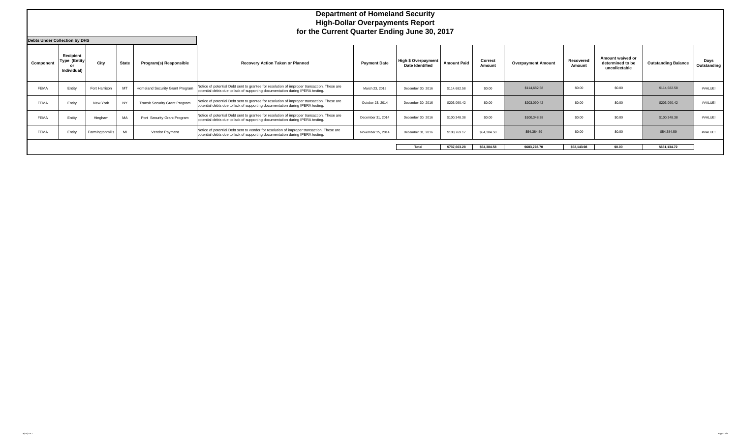|             | <b>Department of Homeland Security</b><br><b>High-Dollar Overpayments Report</b><br>for the Current Quarter Ending June 30, 2017 |                 |              |                                       |                                                                                                                                                                             |                     |                                                      |                    |                   |                           |                     |                                                       |                            |                     |
|-------------|----------------------------------------------------------------------------------------------------------------------------------|-----------------|--------------|---------------------------------------|-----------------------------------------------------------------------------------------------------------------------------------------------------------------------------|---------------------|------------------------------------------------------|--------------------|-------------------|---------------------------|---------------------|-------------------------------------------------------|----------------------------|---------------------|
| Component   | <b>Debts Under Collection by DHS</b><br>Recipient<br>Type (Entity)<br>or<br>Individual)                                          | City            | <b>State</b> | Program(s) Responsible                | Recovery Action Taken or Planned                                                                                                                                            | <b>Payment Date</b> | <b>High \$ Overpayment</b><br><b>Date Identified</b> | <b>Amount Paid</b> | Correct<br>Amount | <b>Overpayment Amount</b> | Recovered<br>Amount | Amount waived or<br>determined to be<br>uncollectable | <b>Outstanding Balance</b> | Days<br>Outstanding |
| <b>FEMA</b> | Entity                                                                                                                           | Fort Harrison   | MT           | Homeland Security Grant Program       | Notice of potential Debt sent to grantee for resolution of improper transaction. These are<br>potential debts due to lack of supporting documentation during IPERA testing. | March 23, 2015      | December 30, 2016                                    | \$114,682.58       | \$0.00            | \$114,682.58              | \$0.00              | \$0.00                                                | \$114,682.58               | #VALUE!             |
| <b>FEMA</b> | Entity                                                                                                                           | New York        |              | <b>Transit Security Grant Program</b> | Notice of potential Debt sent to grantee for resolution of improper transaction. These are<br>potential debts due to lack of supporting documentation during IPERA testing. | October 23, 2014    | December 30, 2016                                    | \$203,090.42       | \$0.00            | \$203,090.42              | \$0.00              | \$0.00                                                | \$203,090.42               | #VALUE!             |
| <b>FEMA</b> | Entity                                                                                                                           | Hingham         | MA           | Port Security Grant Program           | Notice of potential Debt sent to grantee for resolution of improper transaction. These are<br>potential debts due to lack of supporting documentation during IPERA testing. | December 31, 2014   | December 30, 2016                                    | \$100,348.38       | \$0.00            | \$100,348.38              | \$0.00              | \$0.00                                                | \$100,348,38               | #VALUE!             |
| FEMA        | Entity                                                                                                                           | Farmingtonmills | MI           | Vendor Payment                        | Notice of potential Debt sent to vendor for resolution of improper transaction. These are<br>potential debts due to lack of supporting documentation during IPERA testing.  | November 25, 2014   | December 31, 2016                                    | \$108,769.17       | \$54,384.58       | \$54,384.59               | \$0.00              | \$0.00                                                | \$54,384.59                | #VALUE!             |
|             |                                                                                                                                  |                 |              |                                       |                                                                                                                                                                             |                     | Total                                                | \$737.663.28       | \$54.384.58       | \$683,278.70              | \$52,143,98         | \$0.00                                                | \$631,134.72               |                     |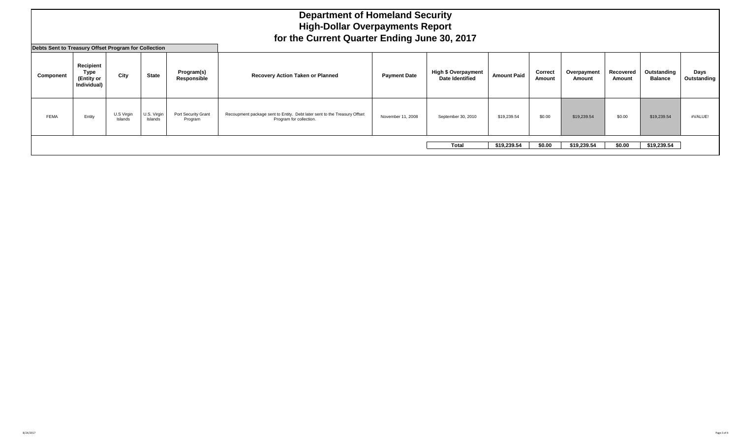|             | <b>Department of Homeland Security</b><br><b>High-Dollar Overpayments Report</b><br>for the Current Quarter Ending June 30, 2017<br>Debts Sent to Treasury Offset Program for Collection |                       |                        |                                |                                                                                                      |                     |                                                      |                    |                   |                       |                     |                               |                     |  |
|-------------|------------------------------------------------------------------------------------------------------------------------------------------------------------------------------------------|-----------------------|------------------------|--------------------------------|------------------------------------------------------------------------------------------------------|---------------------|------------------------------------------------------|--------------------|-------------------|-----------------------|---------------------|-------------------------------|---------------------|--|
| Component   | Recipient<br><b>Type</b><br>(Entity or<br>Individual)                                                                                                                                    | City                  | <b>State</b>           | Program(s)<br>Responsible      | Recovery Action Taken or Planned                                                                     | <b>Payment Date</b> | <b>High \$ Overpayment</b><br><b>Date Identified</b> | <b>Amount Paid</b> | Correct<br>Amount | Overpayment<br>Amount | Recovered<br>Amount | Outstanding<br><b>Balance</b> | Days<br>Outstanding |  |
| <b>FEMA</b> | Entity                                                                                                                                                                                   | U.S Virgin<br>Islands | U.S. Virgin<br>Islands | Port Security Grant<br>Program | Recoupment package sent to Entity. Debt later sent to the Treasury Offset<br>Program for collection. | November 11, 2008   | September 30, 2010                                   | \$19,239.54        | \$0.00            | \$19,239.54           | \$0.00              | \$19,239.54                   | #VALUE!             |  |
|             |                                                                                                                                                                                          |                       |                        |                                |                                                                                                      |                     | <b>Total</b>                                         | \$19,239.54        | \$0.00            | \$19,239.54           | \$0.00              | \$19,239.54                   |                     |  |